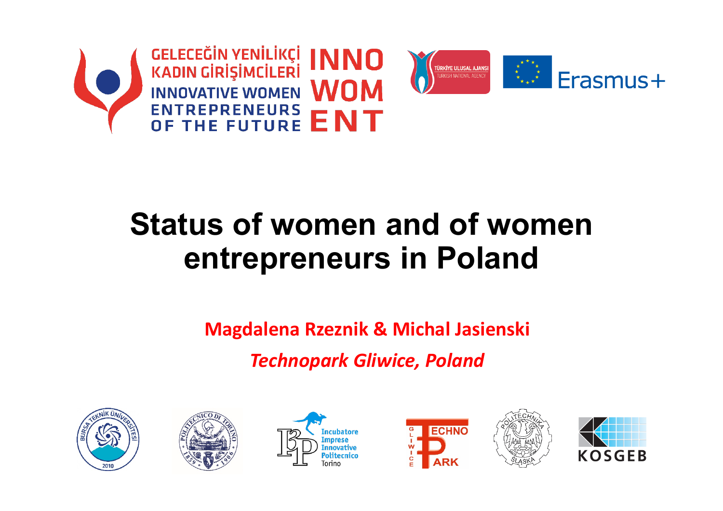



### **Status of women and of women entrepreneurs in Poland**

**Magdalena Rzeznik & Michal Jasienski** 

*Technopark Gliwice, Poland* 











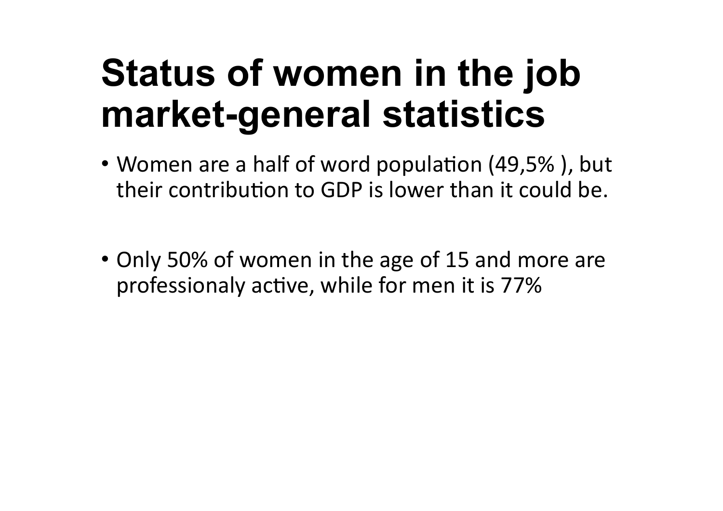### **Status of women in the job market-general statistics**

- Women are a half of word population (49,5%), but their contribution to GDP is lower than it could be.
- Only 50% of women in the age of 15 and more are professionaly active, while for men it is 77%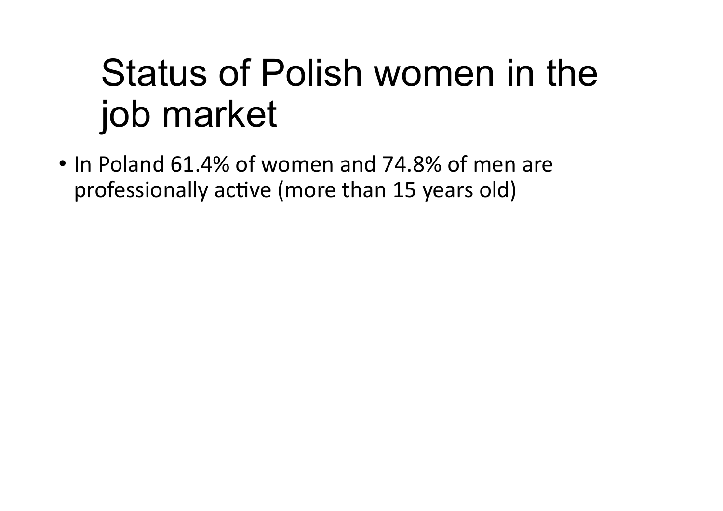# Status of Polish women in the job market

• In Poland 61.4% of women and 74.8% of men are professionally active (more than 15 years old)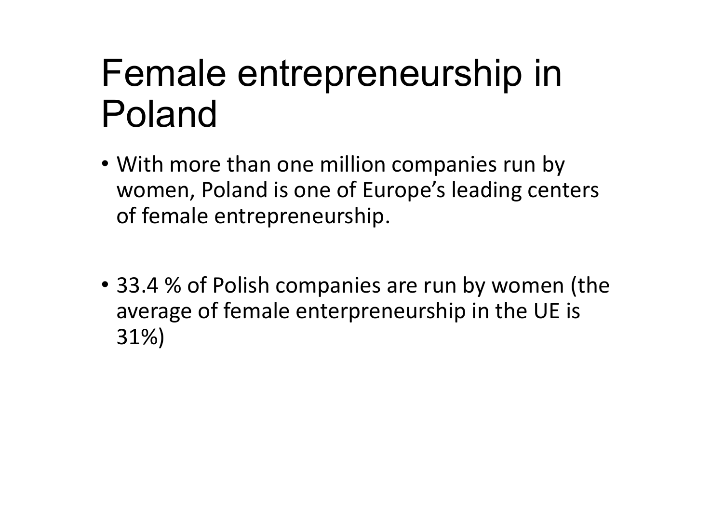### Female entrepreneurship in Poland

- With more than one million companies run by women, Poland is one of Europe's leading centers of female entrepreneurship.
- 33.4 % of Polish companies are run by women (the average of female enterpreneurship in the UE is 31%)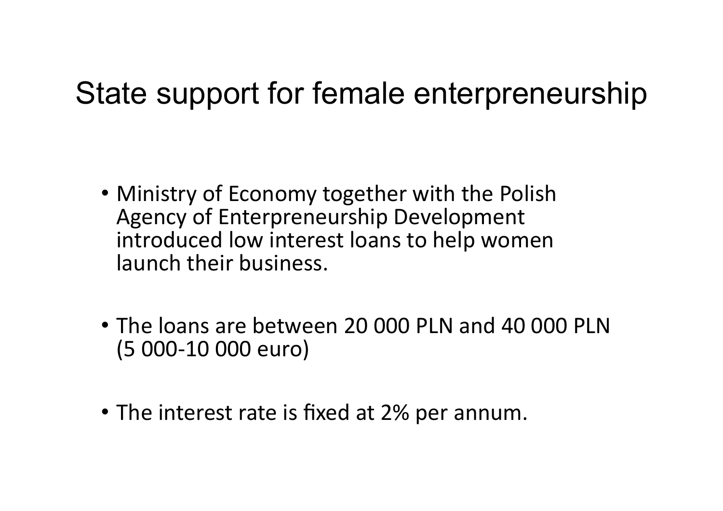#### State support for female enterpreneurship

- Ministry of Economy together with the Polish Agency of Enterpreneurship Development introduced low interest loans to help women launch their business.
- The loans are between 20 000 PLN and 40 000 PLN (5 000-10 000 euro)
- The interest rate is fixed at 2% per annum.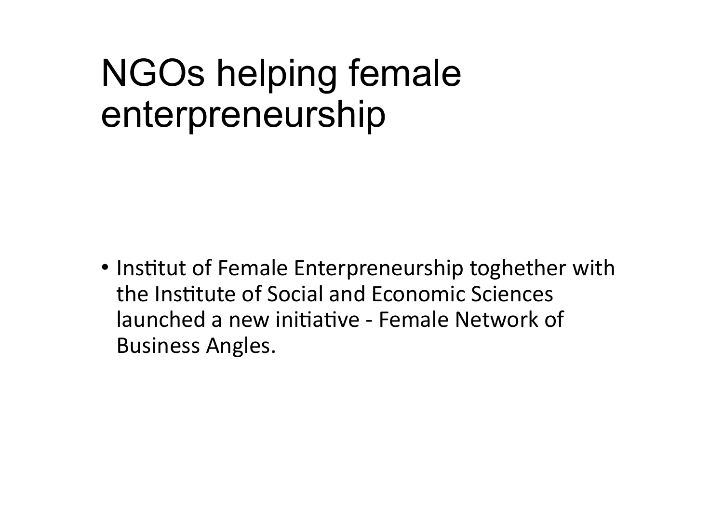### NGOs helping female enterpreneurship

• Institut of Female Enterpreneurship toghether with the Institute of Social and Economic Sciences launched a new initiative - Female Network of Business Angles.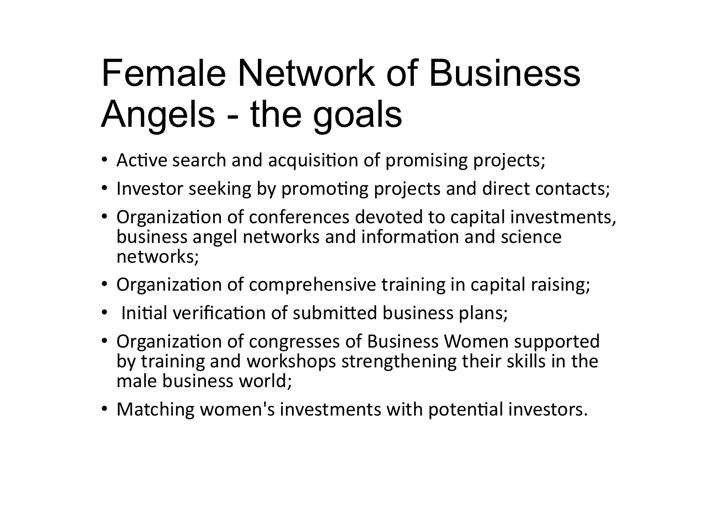# Female Network of Business Angels - the goals

- Active search and acquisition of promising projects;
- Investor seeking by promoting projects and direct contacts;
- Organization of conferences devoted to capital investments, business angel networks and information and science networks;
- Organization of comprehensive training in capital raising;
- Initial verification of submitted business plans;
- Organization of congresses of Business Women supported by training and workshops strengthening their skills in the male business world;
- Matching women's investments with potential investors.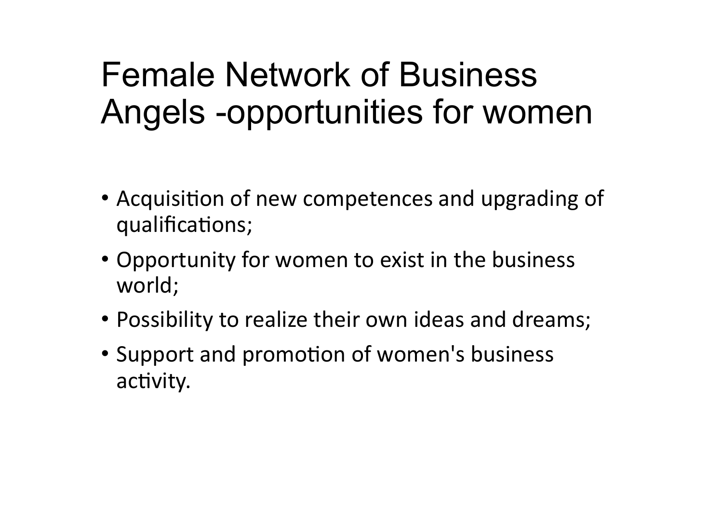### Female Network of Business Angels -opportunities for women

- Acquisition of new competences and upgrading of qualifications;
- Opportunity for women to exist in the business world;
- Possibility to realize their own ideas and dreams;
- Support and promotion of women's business activity.